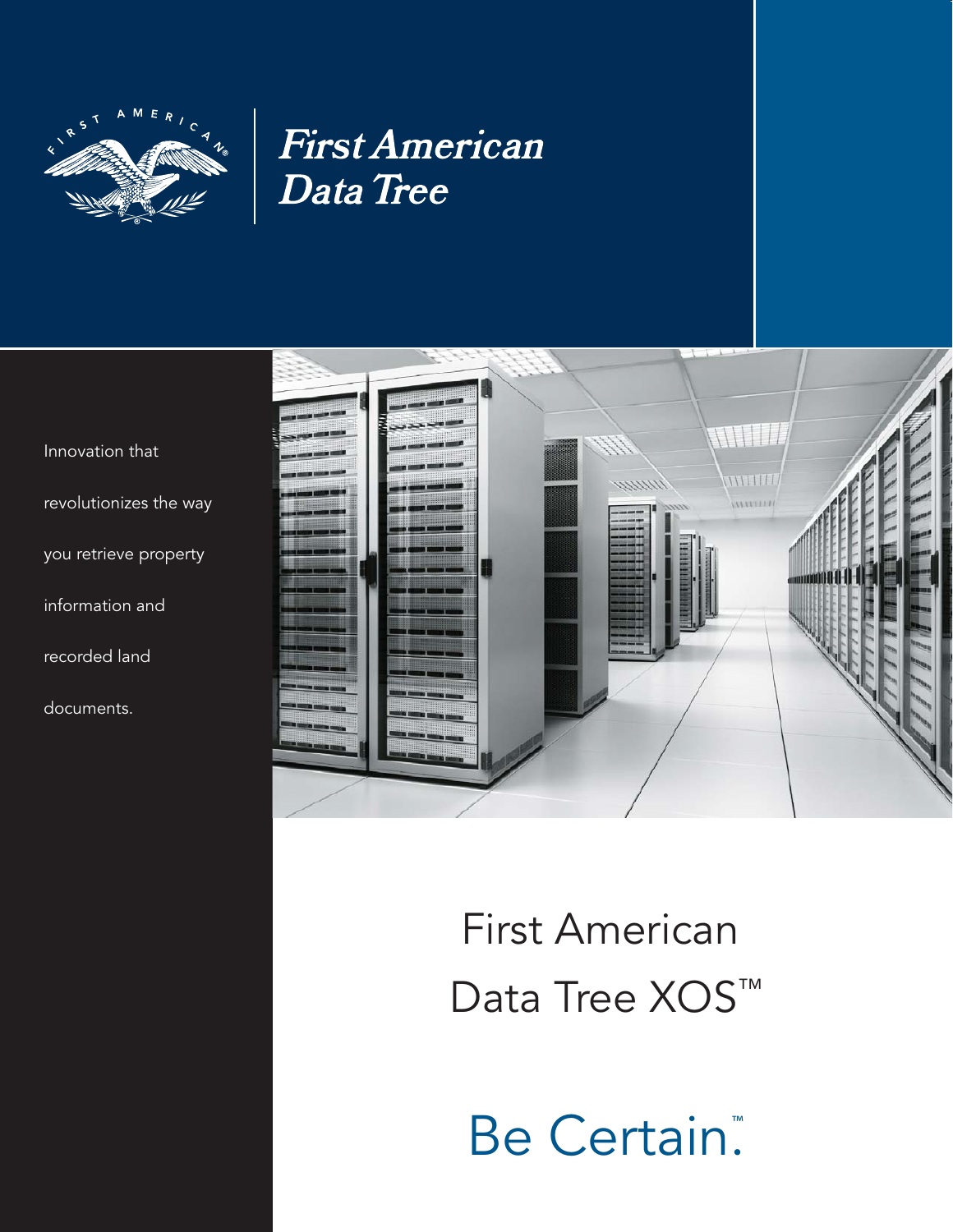

# **First American** Data Tree



# First American Data Tree XOS™

Be Certain<sup>"</sup>.

revolutionizes the way you retrieve property

Innovation that

- information and
- recorded land
- documents.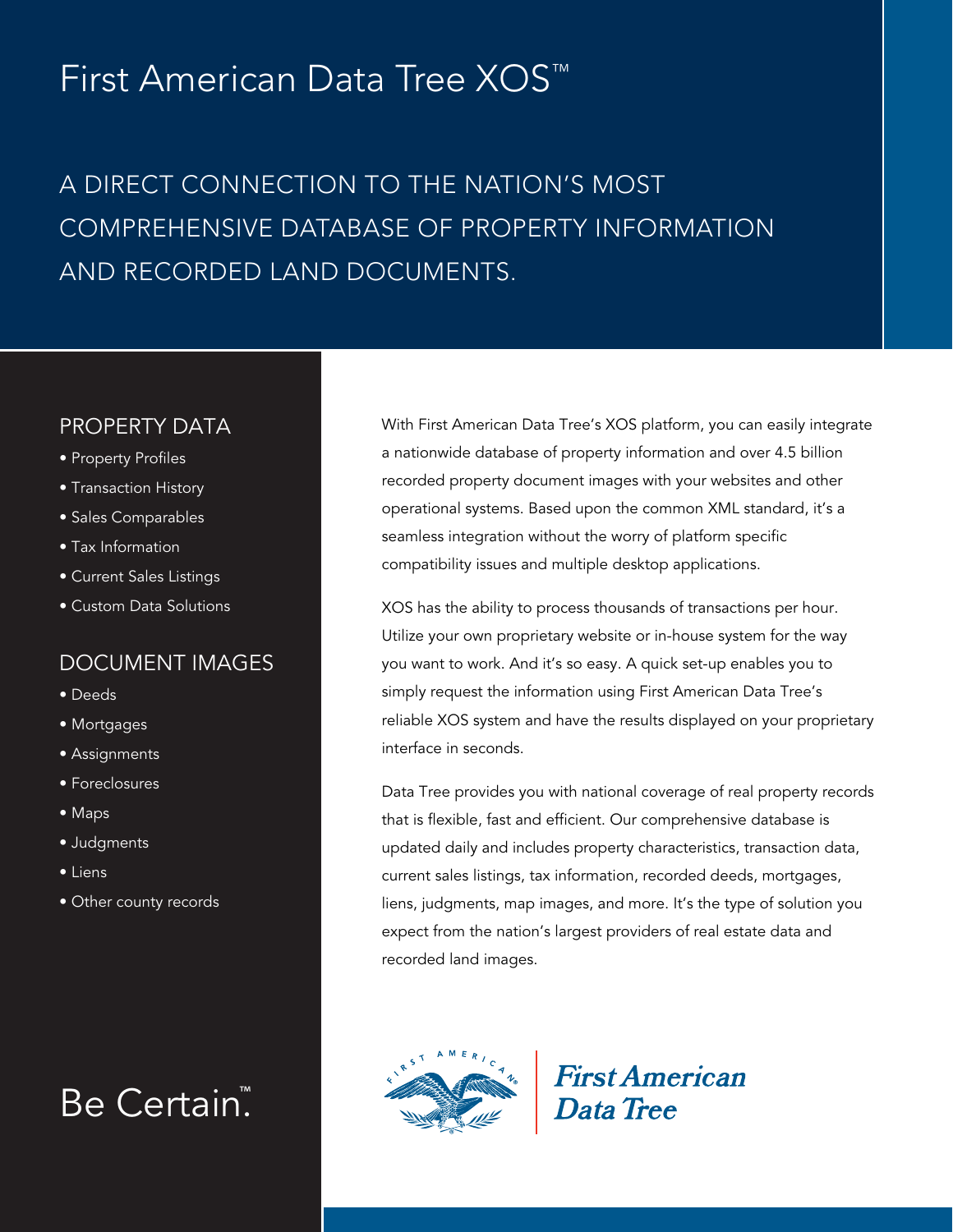# First American Data Tree XOS™

A DIRECT CONNECTION TO THE NATION'S MOST COMPREHENSIVE DATABASE OF PROPERTY INFORMATION AND RECORDED LAND DOCUMENTS.

#### PROPERTY DATA

- Property Profiles
- Transaction History
- Sales Comparables
- Tax Information
- Current Sales Listings
- Custom Data Solutions

#### DOCUMENT IMAGES

- Deeds
- Mortgages
- Assignments
- Foreclosures
- Maps
- Judgments
- Liens
- Other county records

# **Be Certain**.™

With First American Data Tree's XOS platform, you can easily integrate a nationwide database of property information and over 4.5 billion recorded property document images with your websites and other operational systems. Based upon the common XML standard, it's a seamless integration without the worry of platform specific compatibility issues and multiple desktop applications.

XOS has the ability to process thousands of transactions per hour. Utilize your own proprietary website or in-house system for the way you want to work. And it's so easy. A quick set-up enables you to simply request the information using First American Data Tree's reliable XOS system and have the results displayed on your proprietary interface in seconds.

Data Tree provides you with national coverage of real property records that is flexible, fast and efficient. Our comprehensive database is updated daily and includes property characteristics, transaction data, current sales listings, tax information, recorded deeds, mortgages, liens, judgments, map images, and more. It's the type of solution you expect from the nation's largest providers of real estate data and recorded land images.



**First American** Data Tree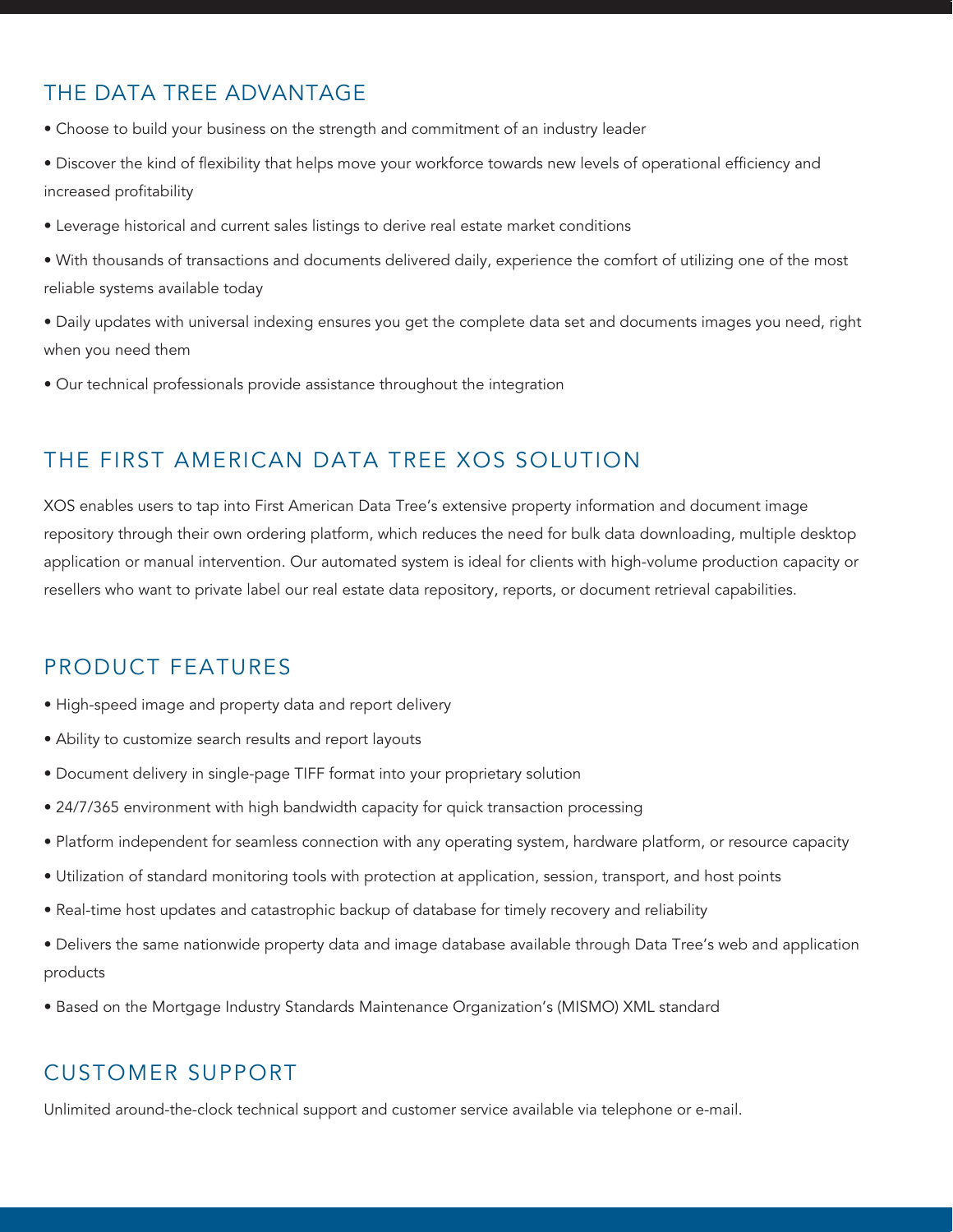### THE DATA TREE ADVANTAGE

- Choose to build your business on the strength and commitment of an industry leader
- Discover the kind of flexibility that helps move your workforce towards new levels of operational efficiency and increased profitability
- Leverage historical and current sales listings to derive real estate market conditions
- With thousands of transactions and documents delivered daily, experience the comfort of utilizing one of the most reliable systems available today
- Daily updates with universal indexing ensures you get the complete data set and documents images you need, right when you need them
- Our technical professionals provide assistance throughout the integration

### THE FIRST AMERICAN DATA TREE XOS SOLUTION

XOS enables users to tap into First American Data Tree's extensive property information and document image repository through their own ordering platform, which reduces the need for bulk data downloading, multiple desktop application or manual intervention. Our automated system is ideal for clients with high-volume production capacity or resellers who want to private label our real estate data repository, reports, or document retrieval capabilities.

### PRODUCT FEATURES

- High-speed image and property data and report delivery
- Ability to customize search results and report layouts
- Document delivery in single-page TIFF format into your proprietary solution
- 24/7/365 environment with high bandwidth capacity for quick transaction processing
- Platform independent for seamless connection with any operating system, hardware platform, or resource capacity
- Utilization of standard monitoring tools with protection at application, session, transport, and host points
- Real-time host updates and catastrophic backup of database for timely recovery and reliability
- Delivers the same nationwide property data and image database available through Data Tree's web and application products
- Based on the Mortgage Industry Standards Maintenance Organization's (MISMO) XML standard

### CUSTOMER SUPPORT

Unlimited around-the-clock technical support and customer service available via telephone or e-mail.